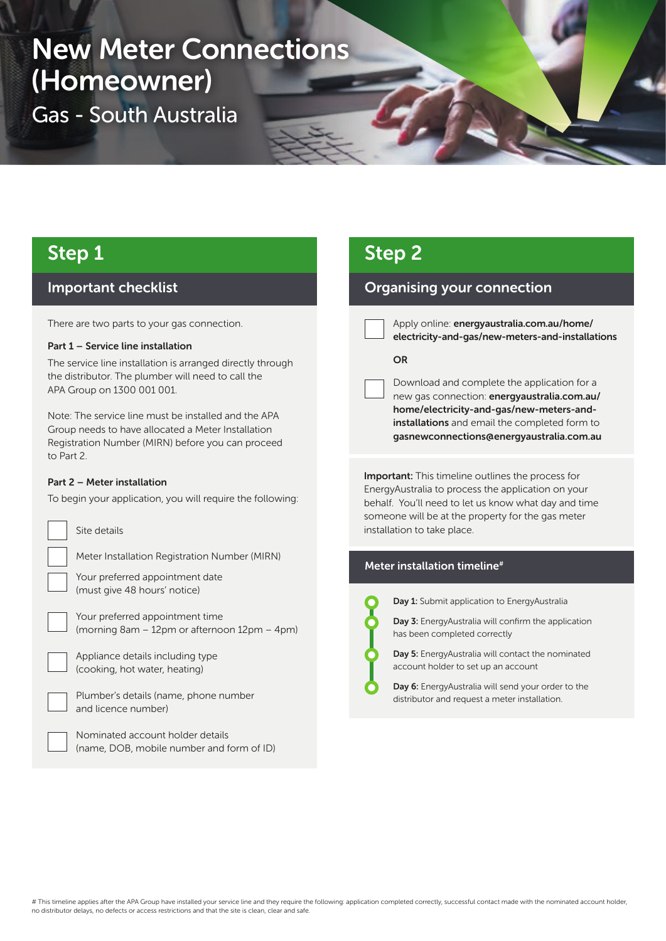# New Meter Connections (Homeowner)

Gas - South Australia

# Step 1

### Important checklist

There are two parts to your gas connection.

### Part 1 – Service line installation

The service line installation is arranged directly through the distributor. The plumber will need to call the APA Group on 1300 001 001.

Note: The service line must be installed and the APA Group needs to have allocated a Meter Installation Registration Number (MIRN) before you can proceed to Part 2.

### Part 2 – Meter installation

To begin your application, you will require the following:



Site details

Meter Installation Registration Number (MIRN)

Your preferred appointment date (must give 48 hours' notice)

Your preferred appointment time (morning 8am – 12pm or afternoon 12pm – 4pm)

Appliance details including type (cooking, hot water, heating)



Plumber's details (name, phone number and licence number)

Nominated account holder details (name, DOB, mobile number and form of ID)

# Step 2

### Organising your connection

Apply online: energyaustralia.com.au/home/ electricity-and-gas/new-meters-and-installations

### **OR**

Download and complete the application for a new gas connection: energyaustralia.com.au/ home/electricity-and-gas/new-meters-andinstallations and email the completed form to gasnewconnections@energyaustralia.com.au

Important: This timeline outlines the process for EnergyAustralia to process the application on your behalf. You'll need to let us know what day and time someone will be at the property for the gas meter installation to take place.

### Meter installation timeline#



Day 1: Submit application to EnergyAustralia

Day 3: EnergyAustralia will confirm the application has been completed correctly

Day 5: EnergyAustralia will contact the nominated account holder to set up an account

Day 6: EnergyAustralia will send your order to the distributor and request a meter installation.